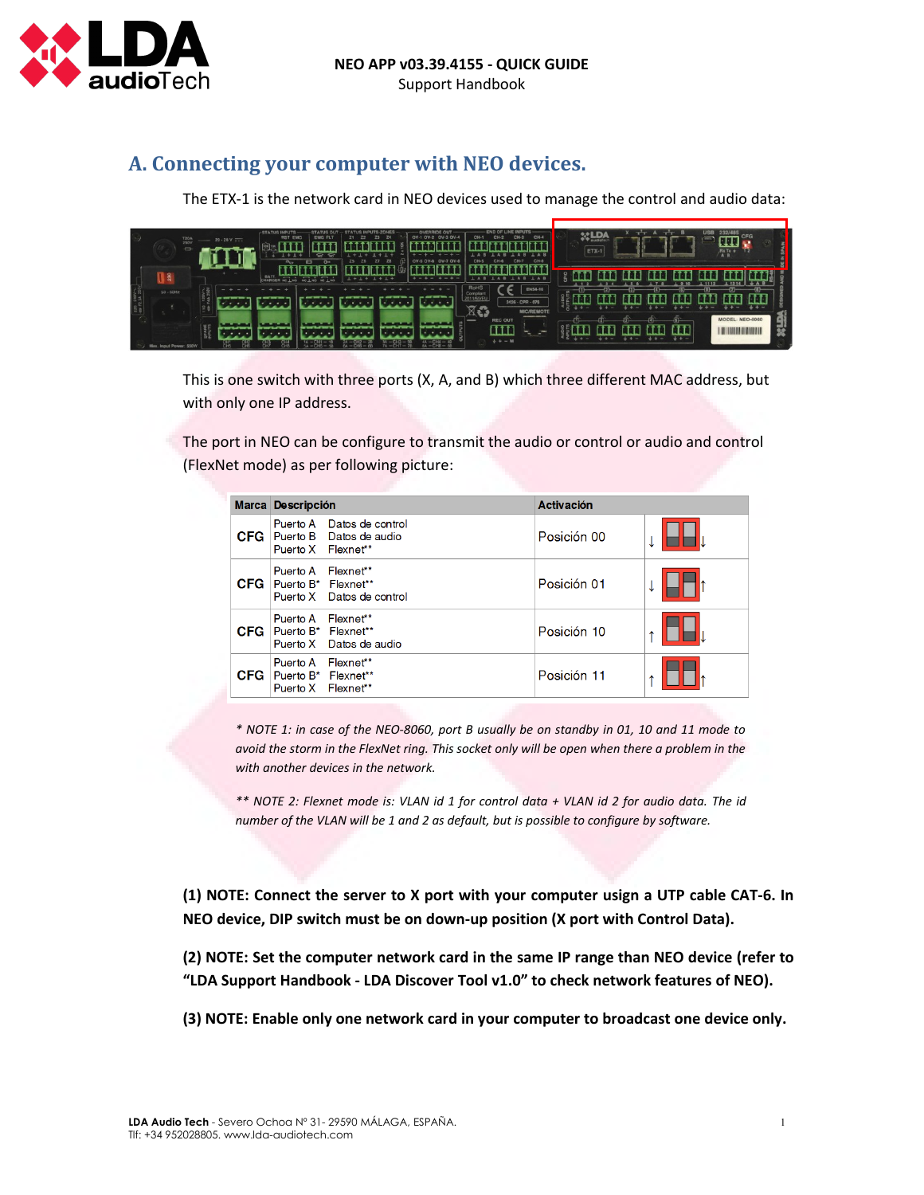

## **A. Connecting your computer with NEO devices.**

The ETX-1 is the network card in NEO devices used to manage the control and audio data:

| T20A<br>$\Rightarrow$  | $20 - 28$ V $\frac{1}{2}$ | <b>-STATUS INPUTS</b><br><b>STATUS OU</b><br>EMG FLT<br><b>RST EMG</b><br>$\sigma$ | OV-3 OV-4<br>OV-1 OV-2<br><b>DV-7 OV-8</b> | CH-4<br>$CH-1$<br>CH-<br>CH-5                                                                               | <b>USB</b><br>232/485<br><b>XALDA</b><br>ETX-1<br>$A \overline{B}$ |
|------------------------|---------------------------|------------------------------------------------------------------------------------|--------------------------------------------|-------------------------------------------------------------------------------------------------------------|--------------------------------------------------------------------|
| l 8<br>$50 - 60 + 12$  |                           | BATT<br>CHARGE                                                                     | ---                                        | <b>EN54-16</b><br><b>ROHS</b><br>Compliant<br>2011/65/EU<br>2426 - CPR - 076<br>图<br>œ<br><b>MIC/REMOTE</b> | ው<br>---<br>$-4 - 4 -$<br><b>TO ALCOHOL:</b><br>.                  |
| Max. Input Power: 550W | <b>SPARE</b><br>얁<br>ČH5  | ortarum v<br>___<br>$IA - CHI -$<br>꺯                                              | ___<br>---<br>$-2H3 - M$                   | ______<br><b>REC OUT</b><br>ШI<br>$\sim$<br>$4.4 - 10$                                                      | <b>MODEL: NEO-8060</b><br>$+ -$<br>$+ + -$<br>$+ + -$<br>$+ + -$   |

This is one switch with three ports (X, A, and B) which three different MAC address, but with only one IP address.

The port in NEO can be configure to transmit the audio or control or audio and control (FlexNet mode) as per following picture:

|     | Marca Descripción                                               |                                                                 | <b>Activación</b> |  |  |
|-----|-----------------------------------------------------------------|-----------------------------------------------------------------|-------------------|--|--|
|     | Puerto X Flexnet**                                              | Puerto A Datos de control<br><b>CFG</b> Puerto B Datos de audio | Posición 00       |  |  |
|     | Puerto A Flexnet**<br><b>CFG</b> Puerto B* Flexnet**            | Puerto X Datos de control                                       | Posición 01       |  |  |
| CFG | Puerto A Flexnet**<br>Puerto B* Flexnet**                       | Puerto X Datos de audio                                         | Posición 10       |  |  |
| CFG | Puerto A Flexnet**<br>Puerto B* Flexnet**<br>Puerto X Flexnet** |                                                                 | Posición 11       |  |  |

*\* NOTE 1: in case of the NEO-8060, port B usually be on standby in 01, 10 and 11 mode to avoid the storm in the FlexNet ring. This socket only will be open when there a problem in the with another devices in the network.*

*\*\* NOTE 2: Flexnet mode is: VLAN id 1 for control data + VLAN id 2 for audio data. The id number of the VLAN will be 1 and 2 as default, but is possible to configure by software.*

**(1) NOTE: Connect the server to X port with your computer usign a UTP cable CAT-6. In NEO device, DIP switch must be on down-up position (X port with Control Data).**

**(2) NOTE: Set the computer network card in the same IP range than NEO device (refer to "LDA Support Handbook - LDA Discover Tool v1.0" to check network features of NEO).**

**(3) NOTE: Enable only one network card in your computer to broadcast one device only.**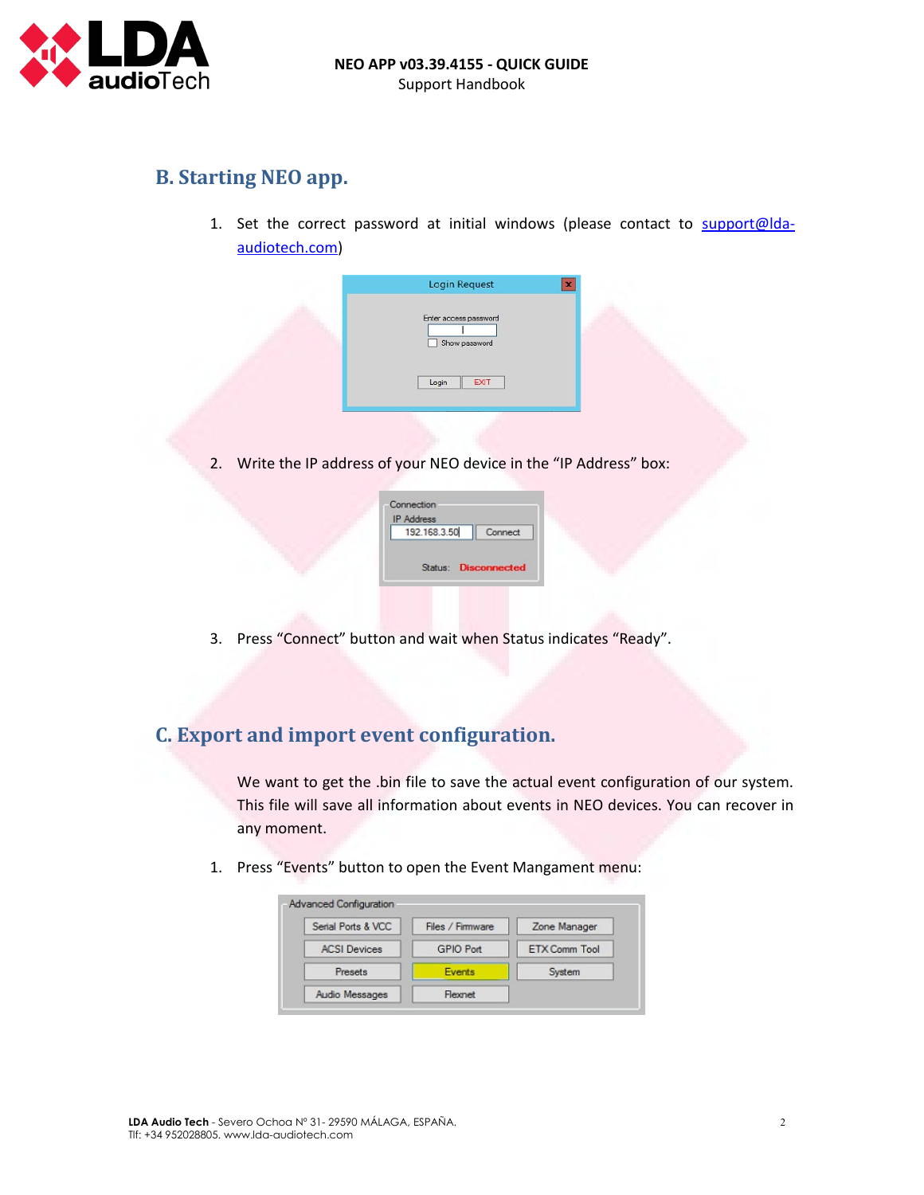

## **B. Starting NEO app.**

1. Set the correct password at initial windows (please contact to [support@lda](mailto:support@lda-audiotech.com)[audiotech.com\)](mailto:support@lda-audiotech.com)



2. Write the IP address of your NEO device in the "IP Address" box:

| <b>IP Address</b> |                     |
|-------------------|---------------------|
| 192.168.3.50      | Connect             |
|                   |                     |
| Status:           | <b>Disconnected</b> |

3. Press "Connect" button and wait when Status indicates "Ready".

## **C. Export and import event configuration.**

We want to get the .bin file to save the actual event configuration of our system. This file will save all information about events in NEO devices. You can recover in any moment.

1. Press "Events" button to open the Event Mangament menu:

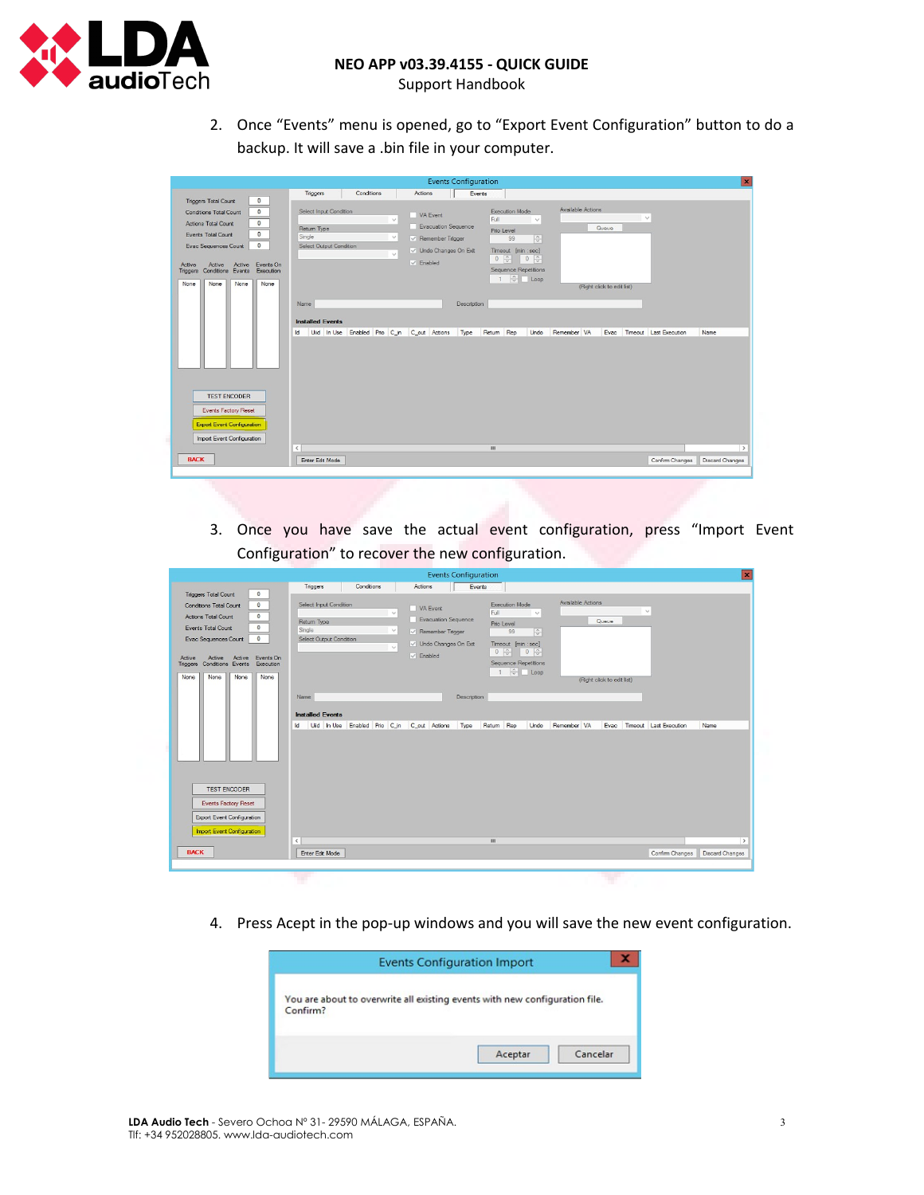

Support Handbook

2. Once "Events" menu is opened, go to "Export Event Configuration" button to do a backup. It will save a .bin file in your computer.

|                                                                                                                                                                                                                                                                                  | <b>Events Configuration</b>                                                                                                                                                                                                                                                                                                                                                                                                                                                                                                                                                                                                                             | $\mathbf{x}$  |
|----------------------------------------------------------------------------------------------------------------------------------------------------------------------------------------------------------------------------------------------------------------------------------|---------------------------------------------------------------------------------------------------------------------------------------------------------------------------------------------------------------------------------------------------------------------------------------------------------------------------------------------------------------------------------------------------------------------------------------------------------------------------------------------------------------------------------------------------------------------------------------------------------------------------------------------------------|---------------|
| $\bullet$<br><b>Triggers Total Count</b>                                                                                                                                                                                                                                         | Triggers<br>Conditions<br>Actions<br>Events                                                                                                                                                                                                                                                                                                                                                                                                                                                                                                                                                                                                             |               |
| $\mathbf 0$<br><b>Conditions Total Count</b><br>$\circ$<br><b>Actions Total Count</b><br>$\theta$<br>Events Total Count<br>$\circ$<br>Evac Sequences Count<br>Active Events On<br>Active<br>Active<br>Conditions Events<br>Execution<br>Triggers<br>None<br>None<br>None<br>None | Available Actions<br>Execution Mode<br>Select Input Condition<br>VA Event<br>$\backsim$<br>Full<br>$\sim$<br>$\checkmark$<br><b>Evacuation Sequence</b><br>Queue<br>Return Type<br>Prio Level<br>Single<br>$\vee$<br>$\sqrt{2}$<br>$\vee$ Remember Trigger<br>99<br>Select Output Condition<br>V Undo Changes On Exit<br>Timeout [min : sec]<br>$\checkmark$<br>$0 \quad \frac{\sim}{\sqrt{2}}$<br>$\begin{array}{ c c c c c }\n\hline\n0 & \frac{\wedge}{\vee} \\ \hline\n\end{array}$<br>$\vee$ Enabled<br>Sequence Repetitions<br>$\frac{1}{x}$ Loop<br>$\mathbf{1}$<br>(Right click to edit list)<br>Name<br>Description<br><b>Installed Events</b> |               |
| <b>TEST ENCODER</b><br><b>Events Factory Reset</b><br><b>Export Event Configuration</b><br>Import Event Configuration<br><b>BACK</b>                                                                                                                                             | Uiid In Use Enabled Prio C_in C_out Actions<br>Return Rep<br>Undo<br>Remember VA<br>Evac Timeout Last Execution<br>Type<br>Name<br><b>Id</b><br>Ш<br>$\langle$<br>Confirm Changes<br><b>Discard Changes</b><br>Enter Edit Mode                                                                                                                                                                                                                                                                                                                                                                                                                          | $\rightarrow$ |

3. Once you have save the actual event configuration, press "Import Event Configuration" to recover the new configuration.

| <b>Events Configuration</b>                                                           |                                                                             |                                                    | $\vert x \vert$        |
|---------------------------------------------------------------------------------------|-----------------------------------------------------------------------------|----------------------------------------------------|------------------------|
|                                                                                       | Triggers<br>Conditions<br>Actions                                           | Events                                             |                        |
| $\mathbf 0$<br><b>Triggers Total Count</b>                                            |                                                                             |                                                    |                        |
| $\circ$<br><b>Conditions Total Count</b>                                              | Select Input Condition<br>VA Event                                          | Available Actions<br><b>Execution Mode</b>         |                        |
| $\circ$<br><b>Actions Total Count</b>                                                 | $\checkmark$                                                                | $\mathbf{r}_\mathrm{c}$<br>Full<br>$\vee$          |                        |
| $\circ$<br>Events Total Count                                                         | Return Type                                                                 | Evacuation Sequence<br>Queue<br>Prio Level         |                        |
|                                                                                       | Single<br>$\checkmark$                                                      | $\frac{1}{2}$<br>$\vee$ Remember Trigger<br>99     |                        |
| $\circ$<br>Evac Sequences Count                                                       | Select Output Condition<br>$\checkmark$                                     | V Undo Changes On Exit<br>Timeout [min : sec]      |                        |
|                                                                                       | $ $ Enabled                                                                 | $0 \div$<br>$0\frac{c}{v}$                         |                        |
| Events On<br>Active<br>Active<br>Active<br>Conditions Events<br>Execution<br>Triggers |                                                                             | <b>Sequence Repetitions</b>                        |                        |
|                                                                                       |                                                                             | $1 \quad \frac{1}{\sqrt{2}}$   Loop                |                        |
| None<br>None<br>None<br>None                                                          |                                                                             | (Right click to edit list)                         |                        |
|                                                                                       |                                                                             |                                                    |                        |
|                                                                                       | Name                                                                        | Description                                        |                        |
|                                                                                       |                                                                             |                                                    |                        |
|                                                                                       | <b>Installed Events</b>                                                     |                                                    |                        |
|                                                                                       | Uid In Use Enabled Prio C_in C_out Actions Type Return Rep<br>$\mathsf{Id}$ | Remember VA<br>Evac Timeout Last Execution<br>Undo | Name                   |
|                                                                                       |                                                                             |                                                    |                        |
|                                                                                       |                                                                             |                                                    |                        |
|                                                                                       |                                                                             |                                                    |                        |
|                                                                                       |                                                                             |                                                    |                        |
|                                                                                       |                                                                             |                                                    |                        |
| <b>TEST ENCODER</b>                                                                   |                                                                             |                                                    |                        |
|                                                                                       |                                                                             |                                                    |                        |
| <b>Events Factory Reset</b>                                                           |                                                                             |                                                    |                        |
| Export Event Configuration                                                            |                                                                             |                                                    |                        |
|                                                                                       |                                                                             |                                                    |                        |
| Import Event Configuration                                                            |                                                                             |                                                    |                        |
|                                                                                       | $\,<$                                                                       | $\mathbf{m}$                                       | $\rightarrow$          |
| <b>BACK</b>                                                                           | Enter Edit Mode                                                             | Confirm Changes                                    | <b>Discard Changes</b> |
|                                                                                       |                                                                             |                                                    |                        |
|                                                                                       |                                                                             |                                                    |                        |
|                                                                                       |                                                                             |                                                    |                        |

4. Press Acept in the pop-up windows and you will save the new event configuration.

| <b>Events Configuration Import</b>                                                      |         |          |  |
|-----------------------------------------------------------------------------------------|---------|----------|--|
| You are about to overwrite all existing events with new configuration file.<br>Confirm? | Aceptar | Cancelar |  |